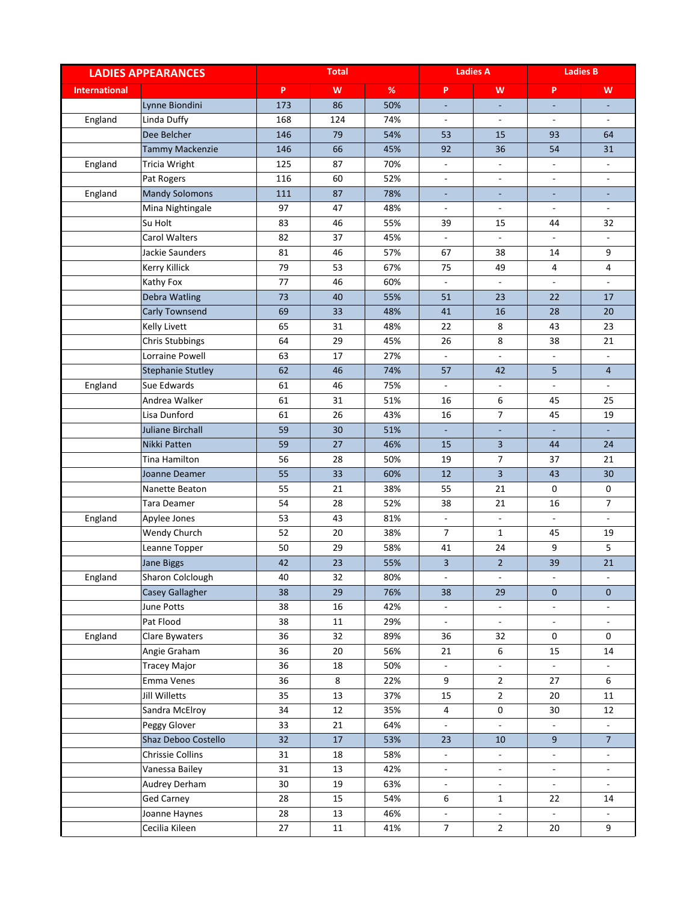| <b>LADIES APPEARANCES</b> |                          | <b>Total</b> |     |            | <b>Ladies A</b>          |                          | <b>Ladies B</b>             |                          |
|---------------------------|--------------------------|--------------|-----|------------|--------------------------|--------------------------|-----------------------------|--------------------------|
| <b>International</b>      |                          | P.           | W   | $\%$       | P                        | W                        | P                           | W                        |
|                           | Lynne Biondini           | 173          | 86  | 50%        |                          |                          |                             |                          |
| England                   | Linda Duffy              | 168          | 124 | 74%        | $\overline{\phantom{a}}$ | $\overline{\phantom{a}}$ | $\overline{\phantom{a}}$    | $\blacksquare$           |
|                           | Dee Belcher              | 146          | 79  | 54%        | 53                       | 15                       | 93                          | 64                       |
|                           | <b>Tammy Mackenzie</b>   | 146          | 66  | 45%        | 92                       | 36                       | 54                          | 31                       |
| England                   | Tricia Wright            | 125          | 87  | 70%        | $\overline{\phantom{a}}$ | $\overline{\phantom{a}}$ | $\overline{\phantom{a}}$    | $\blacksquare$           |
|                           | Pat Rogers               | 116          | 60  | 52%        |                          | $\overline{\phantom{a}}$ | $\overline{\phantom{a}}$    | $\overline{\phantom{a}}$ |
| England                   | <b>Mandy Solomons</b>    | 111          | 87  | 78%        |                          |                          |                             |                          |
|                           | Mina Nightingale         | 97           | 47  | 48%        | $\overline{\phantom{a}}$ | $\blacksquare$           | $\blacksquare$              | $\mathcal{L}$            |
|                           | Su Holt                  | 83           | 46  | 55%        | 39                       | 15                       | 44                          | 32                       |
|                           | <b>Carol Walters</b>     | 82           | 37  | 45%        | $\blacksquare$           | $\equiv$                 | $\mathbf{r}$                | $\mathcal{L}$            |
|                           | Jackie Saunders          | 81           | 46  | 57%        | 67                       | 38                       | 14                          | 9                        |
|                           | Kerry Killick            | 79           | 53  | 67%        | 75                       | 49                       | 4                           | 4                        |
|                           | Kathy Fox                | 77           | 46  | 60%        |                          | $\overline{\phantom{a}}$ | $\mathbf{r}$                | $\overline{\phantom{a}}$ |
|                           | Debra Watling            | 73           | 40  | 55%        | 51                       | 23                       | 22                          | 17                       |
|                           | <b>Carly Townsend</b>    | 69           | 33  | 48%        | 41                       | 16                       | 28                          | 20                       |
|                           | Kelly Livett             | 65           | 31  | 48%        | 22                       | 8                        | 43                          | 23                       |
|                           | Chris Stubbings          | 64           | 29  | 45%        | 26                       | 8                        | 38                          | 21                       |
|                           | Lorraine Powell          | 63           | 17  | 27%        |                          | $\Box$                   | $\frac{1}{2}$               |                          |
|                           | <b>Stephanie Stutley</b> | 62           | 46  | 74%        | 57                       | 42                       | 5                           | $\overline{4}$           |
| England                   | Sue Edwards              | 61           | 46  | 75%        | $\blacksquare$           | $\overline{\phantom{a}}$ | $\blacksquare$              | $\overline{\phantom{a}}$ |
|                           | Andrea Walker            | 61           | 31  | 51%        | 16                       | 6                        | 45                          | 25                       |
|                           | Lisa Dunford             | 61           | 26  | 43%        | 16                       | $\overline{7}$           | 45                          | 19                       |
|                           | <b>Juliane Birchall</b>  | 59           | 30  | 51%        | $\blacksquare$           | $\blacksquare$           | $\omega$                    | ÷.                       |
|                           | Nikki Patten             | 59           | 27  | 46%        | 15                       | 3                        | 44                          | 24                       |
|                           | <b>Tina Hamilton</b>     | 56           | 28  | 50%        | 19                       | $\overline{7}$           | 37                          | 21                       |
|                           |                          |              |     |            |                          | 3                        |                             | 30                       |
|                           | Joanne Deamer            | 55<br>55     | 33  | 60%<br>38% | 12                       |                          | 43                          | 0                        |
|                           | Nanette Beaton           |              | 21  |            | 55                       | 21                       | 0                           |                          |
|                           | Tara Deamer              | 54           | 28  | 52%        | 38                       | 21                       | 16                          | $\overline{7}$           |
| England                   | Apylee Jones             | 53           | 43  | 81%        | $\blacksquare$           | $\overline{\phantom{a}}$ | $\blacksquare$              | $\blacksquare$           |
|                           | Wendy Church             | 52           | 20  | 38%        | $\overline{7}$           | $\mathbf{1}$             | 45                          | 19                       |
|                           | Leanne Topper            | 50           | 29  | 58%        | 41                       | 24                       | 9                           | 5                        |
|                           | Jane Biggs               | 42           | 23  | 55%        | 3                        | $\overline{2}$           | 39                          | 21                       |
| England                   | Sharon Colclough         | 40           | 32  | 80%        | $\blacksquare$           | $\blacksquare$           | $\blacksquare$              | $\overline{\phantom{a}}$ |
|                           | Casey Gallagher          | 38           | 29  | 76%        | 38                       | 29                       | $\mathbf{0}$                | $\overline{0}$           |
|                           | June Potts               | 38           | 16  | 42%        | ÷                        | $\blacksquare$           | $\overline{\phantom{a}}$    | $\blacksquare$           |
|                           | Pat Flood                | 38           | 11  | 29%        | $\blacksquare$           | $\sim$                   | $\overline{\phantom{a}}$    | $\blacksquare$           |
| England                   | Clare Bywaters           | 36           | 32  | 89%        | 36                       | 32                       | 0                           | 0                        |
|                           | Angie Graham             | 36           | 20  | 56%        | 21                       | 6                        | 15                          | 14                       |
|                           | <b>Tracey Major</b>      | 36           | 18  | 50%        | $\blacksquare$           | $\blacksquare$           | $\overline{\phantom{a}}$    | $\blacksquare$           |
|                           | Emma Venes               | 36           | 8   | 22%        | 9                        | $\overline{2}$           | 27                          | 6                        |
|                           | Jill Willetts            | 35           | 13  | 37%        | 15                       | $\overline{2}$           | 20                          | 11                       |
|                           | Sandra McElroy           | 34           | 12  | 35%        | 4                        | 0                        | 30                          | 12                       |
|                           | Peggy Glover             | 33           | 21  | 64%        | $\blacksquare$           | $\equiv$                 |                             |                          |
|                           | Shaz Deboo Costello      | 32           | 17  | 53%        | 23                       | 10                       | 9                           | $\overline{7}$           |
|                           | Chrissie Collins         | 31           | 18  | 58%        | ۰                        | $\equiv$                 | $\blacksquare$              | $\blacksquare$           |
|                           | Vanessa Bailey           | 31           | 13  | 42%        | $\blacksquare$           | $\omega$                 | $\omega$                    | $\sim$                   |
|                           | Audrey Derham            | 30           | 19  | 63%        | $\blacksquare$           | $\overline{\phantom{a}}$ | $\overline{\phantom{a}}$    | $\blacksquare$           |
|                           | <b>Ged Carney</b>        | 28           | 15  | 54%        | 6                        | $\mathbf{1}$             | 22                          | 14                       |
|                           | Joanne Haynes            | 28           | 13  | 46%        | ÷,                       | ÷.                       | $\mathcal{L}_{\mathcal{A}}$ | $\overline{\phantom{a}}$ |
|                           | Cecilia Kileen           | 27           | 11  | 41%        | $\overline{7}$           | $\overline{2}$           | 20                          | 9                        |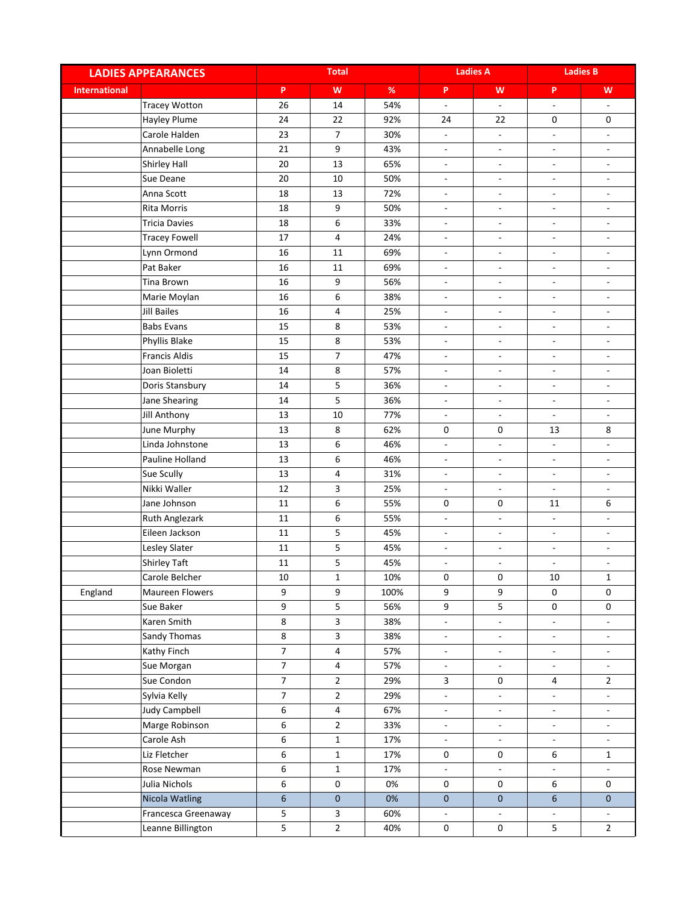| P<br>W<br>$\%$<br>P<br>W<br>P<br>W<br><b>International</b><br><b>Tracey Wotton</b><br>26<br>14<br>54%<br>$\frac{1}{2}$<br>÷<br>$\overline{\phantom{a}}$<br>$\overline{\phantom{a}}$<br>Hayley Plume<br>24<br>22<br>92%<br>0<br>24<br>22<br>0<br>$\overline{7}$<br>Carole Halden<br>23<br>30%<br>÷,<br>$\blacksquare$<br>$\overline{\phantom{a}}$<br>$\overline{\phantom{a}}$<br>21<br>9<br>Annabelle Long<br>43%<br>$\overline{\phantom{a}}$<br>$\blacksquare$<br>$\overline{\phantom{a}}$<br>$\overline{\phantom{a}}$<br>20<br>13<br>Shirley Hall<br>65%<br>ä,<br>$\Box$<br>$\omega$<br>$\overline{a}$<br>20<br>50%<br>Sue Deane<br>$10\,$<br>$\overline{\phantom{a}}$<br>$\overline{\phantom{a}}$<br>$\overline{\phantom{a}}$<br>$\overline{a}$<br>Anna Scott<br>18<br>13<br>72%<br>$\qquad \qquad \blacksquare$<br>$\overline{\phantom{a}}$<br>$\overline{\phantom{a}}$<br>-<br><b>Rita Morris</b><br>18<br>9<br>50%<br>$\blacksquare$<br>$\blacksquare$<br>$\frac{1}{2}$<br>$\blacksquare$<br><b>Tricia Davies</b><br>6<br>33%<br>18<br>$\overline{\phantom{a}}$<br>÷,<br>$\frac{1}{2}$<br>$\overline{\phantom{a}}$<br><b>Tracey Fowell</b><br>17<br>$\overline{4}$<br>24%<br>$\blacksquare$<br>÷,<br>$\overline{\phantom{a}}$<br>$\overline{\phantom{a}}$<br>Lynn Ormond<br>16<br>11<br>69%<br>$\frac{1}{2}$<br>$\overline{\phantom{a}}$<br>$\frac{1}{2}$<br>$\overline{\phantom{a}}$<br>16<br>69%<br>Pat Baker<br>11<br>÷,<br>$\overline{\phantom{0}}$<br>$\overline{\phantom{a}}$<br>$\overline{\phantom{a}}$<br>16<br><b>Tina Brown</b><br>9<br>56%<br>$\overline{\phantom{0}}$<br>$\qquad \qquad \blacksquare$<br>$\overline{\phantom{a}}$<br>$\overline{\phantom{a}}$<br>6<br>Marie Moylan<br>16<br>38%<br>$\qquad \qquad \blacksquare$<br>$\blacksquare$<br>$\overline{\phantom{a}}$<br>$\overline{\phantom{a}}$<br><b>Jill Bailes</b><br>16<br>4<br>25%<br>$\overline{\phantom{a}}$<br>$\overline{\phantom{a}}$<br>$\overline{\phantom{0}}$<br>$\overline{\phantom{a}}$<br><b>Babs Evans</b><br>15<br>8<br>53%<br>$\overline{\phantom{a}}$<br>$\overline{\phantom{a}}$<br>$\overline{\phantom{a}}$<br>$\blacksquare$<br>15<br>8<br>53%<br>Phyllis Blake<br>$\overline{\phantom{a}}$<br>$\overline{\phantom{a}}$<br>$\blacksquare$<br>$\overline{a}$<br>$\overline{7}$<br><b>Francis Aldis</b><br>15<br>47%<br>$\overline{\phantom{a}}$<br>$\overline{\phantom{a}}$<br>$\overline{\phantom{a}}$<br>$\overline{\phantom{0}}$<br>14<br>8<br>Joan Bioletti<br>57%<br>$\blacksquare$<br>$\overline{\phantom{a}}$<br>$\overline{\phantom{a}}$<br>÷,<br>5<br>Doris Stansbury<br>14<br>36%<br>$\blacksquare$<br>$\overline{\phantom{a}}$<br>$\overline{\phantom{a}}$<br>÷,<br>5<br>Jane Shearing<br>14<br>36%<br>$\overline{\phantom{a}}$<br>$\overline{\phantom{a}}$<br>$\overline{\phantom{a}}$<br>$\overline{\phantom{a}}$<br>13<br>10<br>77%<br>Jill Anthony<br>÷.<br>$\frac{1}{2}$<br>$\overline{\phantom{a}}$<br>$\blacksquare$<br>June Murphy<br>8<br>13<br>62%<br>0<br>0<br>8<br>13<br>6<br>Linda Johnstone<br>13<br>46%<br>$\blacksquare$<br>$\frac{1}{2}$<br>$\overline{\phantom{a}}$<br>$\overline{\phantom{a}}$<br>Pauline Holland<br>13<br>6<br>46%<br>$\overline{\phantom{a}}$<br>$\overline{\phantom{a}}$<br>$\overline{\phantom{a}}$<br>٠<br>Sue Scully<br>13<br>4<br>31%<br>$\qquad \qquad \blacksquare$<br>$\blacksquare$<br>$\overline{a}$<br>$\overline{\phantom{a}}$<br>Nikki Waller<br>3<br>12<br>25%<br>$\frac{1}{2}$<br>$\overline{\phantom{a}}$<br>$\blacksquare$<br>$\blacksquare$<br>$\boldsymbol{6}$<br>Jane Johnson<br>$11\,$<br>55%<br>6<br>0<br>0<br>11<br>11<br>6<br>Ruth Anglezark<br>55%<br>$\Box$<br>÷,<br>$\overline{\phantom{a}}$<br>$\overline{\phantom{a}}$<br>5<br>Eileen Jackson<br>11<br>45%<br>$\blacksquare$<br>$\blacksquare$<br>$\overline{\phantom{a}}$<br>$\overline{\phantom{0}}$<br>5<br>Lesley Slater<br>11<br>45%<br>÷,<br>$\overline{\phantom{a}}$<br>÷,<br>$\overline{\phantom{a}}$<br>5<br>Shirley Taft<br>11<br>45%<br>$\overline{\phantom{a}}$<br>$\overline{\phantom{a}}$<br>$\overline{\phantom{0}}$<br>$\overline{\phantom{a}}$<br>Carole Belcher<br>10<br>$\mathbf{1}$<br>10%<br>0<br>0<br>10<br>$\mathbf{1}$<br>9<br>9<br>9<br>9<br>England<br>Maureen Flowers<br>100%<br>0<br>0<br>9<br>5<br>5<br>56%<br>9<br>$\mathsf{O}$<br>Sue Baker<br>0<br>$\overline{\mathbf{3}}$<br>8<br>Karen Smith<br>38%<br>÷,<br>÷.<br>÷.<br>$\overline{\phantom{a}}$<br>8<br>$\mathbf{3}$<br>Sandy Thomas<br>38%<br>$\overline{\phantom{a}}$<br>$\overline{\phantom{a}}$<br>$\overline{\phantom{a}}$<br>$\overline{\phantom{a}}$<br>$\overline{7}$<br>$\overline{4}$<br>Kathy Finch<br>57%<br>$\frac{1}{2}$<br>$\overline{\phantom{a}}$<br>$\overline{\phantom{a}}$<br>$\overline{\phantom{a}}$<br>$\overline{7}$<br>Sue Morgan<br>$\overline{\mathbf{4}}$<br>57%<br>$\Box$<br>÷,<br>$\Box$<br>$\blacksquare$<br>Sue Condon<br>$\overline{7}$<br>$\overline{2}$<br>29%<br>$\overline{2}$<br>3<br>0<br>4<br>$\overline{7}$<br>Sylvia Kelly<br>$\overline{2}$<br>29%<br>÷<br>$\overline{\phantom{a}}$<br>$\blacksquare$<br>$\overline{\phantom{a}}$<br><b>Judy Campbell</b><br>6<br>$\overline{4}$<br>67%<br>÷,<br>٠<br>$\blacksquare$<br>$\overline{\phantom{a}}$<br>Marge Robinson<br>6<br>$\overline{2}$<br>33%<br>$\overline{\phantom{a}}$<br>$\overline{\phantom{a}}$<br>$\overline{\phantom{a}}$<br>۰.<br>6<br>Carole Ash<br>$\mathbf{1}$<br>17%<br>÷,<br>$\frac{1}{2}$<br>$\overline{\phantom{a}}$<br>$\mathbf{r}$<br>6<br>Liz Fletcher<br>$\mathbf 1$<br>17%<br>0<br>6<br>0<br>$\mathbf{1}$<br>6<br>Rose Newman<br>$\mathbf{1}$<br>17%<br>÷<br>$\blacksquare$<br>$\blacksquare$<br>$\blacksquare$<br>Julia Nichols<br>6<br>0<br>0%<br>$\mathsf{O}\xspace$<br>$\mathbf 0$<br>6<br>0<br>$6\phantom{a}$<br>Nicola Watling<br>$\mathsf{O}\xspace$<br>$\overline{0}$<br>6<br>0%<br>$\mathbf{0}$<br>$\mathbf{0}$<br>5<br>$\mathsf{3}$<br>Francesca Greenaway<br>60%<br>۰<br>5<br>$\overline{2}$<br>5<br>$\overline{2}$<br>40%<br>$\mathbf 0$<br>0<br>Leanne Billington | <b>LADIES APPEARANCES</b> |  | <b>Total</b> |  |  | <b>Ladies A</b> |  | <b>Ladies B</b> |  |
|-----------------------------------------------------------------------------------------------------------------------------------------------------------------------------------------------------------------------------------------------------------------------------------------------------------------------------------------------------------------------------------------------------------------------------------------------------------------------------------------------------------------------------------------------------------------------------------------------------------------------------------------------------------------------------------------------------------------------------------------------------------------------------------------------------------------------------------------------------------------------------------------------------------------------------------------------------------------------------------------------------------------------------------------------------------------------------------------------------------------------------------------------------------------------------------------------------------------------------------------------------------------------------------------------------------------------------------------------------------------------------------------------------------------------------------------------------------------------------------------------------------------------------------------------------------------------------------------------------------------------------------------------------------------------------------------------------------------------------------------------------------------------------------------------------------------------------------------------------------------------------------------------------------------------------------------------------------------------------------------------------------------------------------------------------------------------------------------------------------------------------------------------------------------------------------------------------------------------------------------------------------------------------------------------------------------------------------------------------------------------------------------------------------------------------------------------------------------------------------------------------------------------------------------------------------------------------------------------------------------------------------------------------------------------------------------------------------------------------------------------------------------------------------------------------------------------------------------------------------------------------------------------------------------------------------------------------------------------------------------------------------------------------------------------------------------------------------------------------------------------------------------------------------------------------------------------------------------------------------------------------------------------------------------------------------------------------------------------------------------------------------------------------------------------------------------------------------------------------------------------------------------------------------------------------------------------------------------------------------------------------------------------------------------------------------------------------------------------------------------------------------------------------------------------------------------------------------------------------------------------------------------------------------------------------------------------------------------------------------------------------------------------------------------------------------------------------------------------------------------------------------------------------------------------------------------------------------------------------------------------------------------------------------------------------------------------------------------------------------------------------------------------------------------------------------------------------------------------------------------------------------------------------------------------------------------------------------------------------------------------------------------------------------------------------------------------------------------------------------------------------------------------------------------------------------------------------------------------------------------------------------------------------------------------------------------------------------------------------------------------------------------------------------------------------------------------------------------------------------------------------------------------------------------------------------------------------------------------------------------------------------------------------------------------------------------------------------------------------------------------------------------------------------------------------------------------------------------------------------------------------------------------------------------------------------------------------------------------------------------------------------------------------------------------------------------------------------------------------------------------------------------------------------------------------------------------------------------------------------------------------------------------------------------------------------------------------------------------------------------------------------------------|---------------------------|--|--------------|--|--|-----------------|--|-----------------|--|
|                                                                                                                                                                                                                                                                                                                                                                                                                                                                                                                                                                                                                                                                                                                                                                                                                                                                                                                                                                                                                                                                                                                                                                                                                                                                                                                                                                                                                                                                                                                                                                                                                                                                                                                                                                                                                                                                                                                                                                                                                                                                                                                                                                                                                                                                                                                                                                                                                                                                                                                                                                                                                                                                                                                                                                                                                                                                                                                                                                                                                                                                                                                                                                                                                                                                                                                                                                                                                                                                                                                                                                                                                                                                                                                                                                                                                                                                                                                                                                                                                                                                                                                                                                                                                                                                                                                                                                                                                                                                                                                                                                                                                                                                                                                                                                                                                                                                                                                                                                                                                                                                                                                                                                                                                                                                                                                                                                                                                                                                                                                                                                                                                                                                                                                                                                                                                                                                                                                                                                                                                       |                           |  |              |  |  |                 |  |                 |  |
|                                                                                                                                                                                                                                                                                                                                                                                                                                                                                                                                                                                                                                                                                                                                                                                                                                                                                                                                                                                                                                                                                                                                                                                                                                                                                                                                                                                                                                                                                                                                                                                                                                                                                                                                                                                                                                                                                                                                                                                                                                                                                                                                                                                                                                                                                                                                                                                                                                                                                                                                                                                                                                                                                                                                                                                                                                                                                                                                                                                                                                                                                                                                                                                                                                                                                                                                                                                                                                                                                                                                                                                                                                                                                                                                                                                                                                                                                                                                                                                                                                                                                                                                                                                                                                                                                                                                                                                                                                                                                                                                                                                                                                                                                                                                                                                                                                                                                                                                                                                                                                                                                                                                                                                                                                                                                                                                                                                                                                                                                                                                                                                                                                                                                                                                                                                                                                                                                                                                                                                                                       |                           |  |              |  |  |                 |  |                 |  |
|                                                                                                                                                                                                                                                                                                                                                                                                                                                                                                                                                                                                                                                                                                                                                                                                                                                                                                                                                                                                                                                                                                                                                                                                                                                                                                                                                                                                                                                                                                                                                                                                                                                                                                                                                                                                                                                                                                                                                                                                                                                                                                                                                                                                                                                                                                                                                                                                                                                                                                                                                                                                                                                                                                                                                                                                                                                                                                                                                                                                                                                                                                                                                                                                                                                                                                                                                                                                                                                                                                                                                                                                                                                                                                                                                                                                                                                                                                                                                                                                                                                                                                                                                                                                                                                                                                                                                                                                                                                                                                                                                                                                                                                                                                                                                                                                                                                                                                                                                                                                                                                                                                                                                                                                                                                                                                                                                                                                                                                                                                                                                                                                                                                                                                                                                                                                                                                                                                                                                                                                                       |                           |  |              |  |  |                 |  |                 |  |
|                                                                                                                                                                                                                                                                                                                                                                                                                                                                                                                                                                                                                                                                                                                                                                                                                                                                                                                                                                                                                                                                                                                                                                                                                                                                                                                                                                                                                                                                                                                                                                                                                                                                                                                                                                                                                                                                                                                                                                                                                                                                                                                                                                                                                                                                                                                                                                                                                                                                                                                                                                                                                                                                                                                                                                                                                                                                                                                                                                                                                                                                                                                                                                                                                                                                                                                                                                                                                                                                                                                                                                                                                                                                                                                                                                                                                                                                                                                                                                                                                                                                                                                                                                                                                                                                                                                                                                                                                                                                                                                                                                                                                                                                                                                                                                                                                                                                                                                                                                                                                                                                                                                                                                                                                                                                                                                                                                                                                                                                                                                                                                                                                                                                                                                                                                                                                                                                                                                                                                                                                       |                           |  |              |  |  |                 |  |                 |  |
|                                                                                                                                                                                                                                                                                                                                                                                                                                                                                                                                                                                                                                                                                                                                                                                                                                                                                                                                                                                                                                                                                                                                                                                                                                                                                                                                                                                                                                                                                                                                                                                                                                                                                                                                                                                                                                                                                                                                                                                                                                                                                                                                                                                                                                                                                                                                                                                                                                                                                                                                                                                                                                                                                                                                                                                                                                                                                                                                                                                                                                                                                                                                                                                                                                                                                                                                                                                                                                                                                                                                                                                                                                                                                                                                                                                                                                                                                                                                                                                                                                                                                                                                                                                                                                                                                                                                                                                                                                                                                                                                                                                                                                                                                                                                                                                                                                                                                                                                                                                                                                                                                                                                                                                                                                                                                                                                                                                                                                                                                                                                                                                                                                                                                                                                                                                                                                                                                                                                                                                                                       |                           |  |              |  |  |                 |  |                 |  |
|                                                                                                                                                                                                                                                                                                                                                                                                                                                                                                                                                                                                                                                                                                                                                                                                                                                                                                                                                                                                                                                                                                                                                                                                                                                                                                                                                                                                                                                                                                                                                                                                                                                                                                                                                                                                                                                                                                                                                                                                                                                                                                                                                                                                                                                                                                                                                                                                                                                                                                                                                                                                                                                                                                                                                                                                                                                                                                                                                                                                                                                                                                                                                                                                                                                                                                                                                                                                                                                                                                                                                                                                                                                                                                                                                                                                                                                                                                                                                                                                                                                                                                                                                                                                                                                                                                                                                                                                                                                                                                                                                                                                                                                                                                                                                                                                                                                                                                                                                                                                                                                                                                                                                                                                                                                                                                                                                                                                                                                                                                                                                                                                                                                                                                                                                                                                                                                                                                                                                                                                                       |                           |  |              |  |  |                 |  |                 |  |
|                                                                                                                                                                                                                                                                                                                                                                                                                                                                                                                                                                                                                                                                                                                                                                                                                                                                                                                                                                                                                                                                                                                                                                                                                                                                                                                                                                                                                                                                                                                                                                                                                                                                                                                                                                                                                                                                                                                                                                                                                                                                                                                                                                                                                                                                                                                                                                                                                                                                                                                                                                                                                                                                                                                                                                                                                                                                                                                                                                                                                                                                                                                                                                                                                                                                                                                                                                                                                                                                                                                                                                                                                                                                                                                                                                                                                                                                                                                                                                                                                                                                                                                                                                                                                                                                                                                                                                                                                                                                                                                                                                                                                                                                                                                                                                                                                                                                                                                                                                                                                                                                                                                                                                                                                                                                                                                                                                                                                                                                                                                                                                                                                                                                                                                                                                                                                                                                                                                                                                                                                       |                           |  |              |  |  |                 |  |                 |  |
|                                                                                                                                                                                                                                                                                                                                                                                                                                                                                                                                                                                                                                                                                                                                                                                                                                                                                                                                                                                                                                                                                                                                                                                                                                                                                                                                                                                                                                                                                                                                                                                                                                                                                                                                                                                                                                                                                                                                                                                                                                                                                                                                                                                                                                                                                                                                                                                                                                                                                                                                                                                                                                                                                                                                                                                                                                                                                                                                                                                                                                                                                                                                                                                                                                                                                                                                                                                                                                                                                                                                                                                                                                                                                                                                                                                                                                                                                                                                                                                                                                                                                                                                                                                                                                                                                                                                                                                                                                                                                                                                                                                                                                                                                                                                                                                                                                                                                                                                                                                                                                                                                                                                                                                                                                                                                                                                                                                                                                                                                                                                                                                                                                                                                                                                                                                                                                                                                                                                                                                                                       |                           |  |              |  |  |                 |  |                 |  |
|                                                                                                                                                                                                                                                                                                                                                                                                                                                                                                                                                                                                                                                                                                                                                                                                                                                                                                                                                                                                                                                                                                                                                                                                                                                                                                                                                                                                                                                                                                                                                                                                                                                                                                                                                                                                                                                                                                                                                                                                                                                                                                                                                                                                                                                                                                                                                                                                                                                                                                                                                                                                                                                                                                                                                                                                                                                                                                                                                                                                                                                                                                                                                                                                                                                                                                                                                                                                                                                                                                                                                                                                                                                                                                                                                                                                                                                                                                                                                                                                                                                                                                                                                                                                                                                                                                                                                                                                                                                                                                                                                                                                                                                                                                                                                                                                                                                                                                                                                                                                                                                                                                                                                                                                                                                                                                                                                                                                                                                                                                                                                                                                                                                                                                                                                                                                                                                                                                                                                                                                                       |                           |  |              |  |  |                 |  |                 |  |
|                                                                                                                                                                                                                                                                                                                                                                                                                                                                                                                                                                                                                                                                                                                                                                                                                                                                                                                                                                                                                                                                                                                                                                                                                                                                                                                                                                                                                                                                                                                                                                                                                                                                                                                                                                                                                                                                                                                                                                                                                                                                                                                                                                                                                                                                                                                                                                                                                                                                                                                                                                                                                                                                                                                                                                                                                                                                                                                                                                                                                                                                                                                                                                                                                                                                                                                                                                                                                                                                                                                                                                                                                                                                                                                                                                                                                                                                                                                                                                                                                                                                                                                                                                                                                                                                                                                                                                                                                                                                                                                                                                                                                                                                                                                                                                                                                                                                                                                                                                                                                                                                                                                                                                                                                                                                                                                                                                                                                                                                                                                                                                                                                                                                                                                                                                                                                                                                                                                                                                                                                       |                           |  |              |  |  |                 |  |                 |  |
|                                                                                                                                                                                                                                                                                                                                                                                                                                                                                                                                                                                                                                                                                                                                                                                                                                                                                                                                                                                                                                                                                                                                                                                                                                                                                                                                                                                                                                                                                                                                                                                                                                                                                                                                                                                                                                                                                                                                                                                                                                                                                                                                                                                                                                                                                                                                                                                                                                                                                                                                                                                                                                                                                                                                                                                                                                                                                                                                                                                                                                                                                                                                                                                                                                                                                                                                                                                                                                                                                                                                                                                                                                                                                                                                                                                                                                                                                                                                                                                                                                                                                                                                                                                                                                                                                                                                                                                                                                                                                                                                                                                                                                                                                                                                                                                                                                                                                                                                                                                                                                                                                                                                                                                                                                                                                                                                                                                                                                                                                                                                                                                                                                                                                                                                                                                                                                                                                                                                                                                                                       |                           |  |              |  |  |                 |  |                 |  |
|                                                                                                                                                                                                                                                                                                                                                                                                                                                                                                                                                                                                                                                                                                                                                                                                                                                                                                                                                                                                                                                                                                                                                                                                                                                                                                                                                                                                                                                                                                                                                                                                                                                                                                                                                                                                                                                                                                                                                                                                                                                                                                                                                                                                                                                                                                                                                                                                                                                                                                                                                                                                                                                                                                                                                                                                                                                                                                                                                                                                                                                                                                                                                                                                                                                                                                                                                                                                                                                                                                                                                                                                                                                                                                                                                                                                                                                                                                                                                                                                                                                                                                                                                                                                                                                                                                                                                                                                                                                                                                                                                                                                                                                                                                                                                                                                                                                                                                                                                                                                                                                                                                                                                                                                                                                                                                                                                                                                                                                                                                                                                                                                                                                                                                                                                                                                                                                                                                                                                                                                                       |                           |  |              |  |  |                 |  |                 |  |
|                                                                                                                                                                                                                                                                                                                                                                                                                                                                                                                                                                                                                                                                                                                                                                                                                                                                                                                                                                                                                                                                                                                                                                                                                                                                                                                                                                                                                                                                                                                                                                                                                                                                                                                                                                                                                                                                                                                                                                                                                                                                                                                                                                                                                                                                                                                                                                                                                                                                                                                                                                                                                                                                                                                                                                                                                                                                                                                                                                                                                                                                                                                                                                                                                                                                                                                                                                                                                                                                                                                                                                                                                                                                                                                                                                                                                                                                                                                                                                                                                                                                                                                                                                                                                                                                                                                                                                                                                                                                                                                                                                                                                                                                                                                                                                                                                                                                                                                                                                                                                                                                                                                                                                                                                                                                                                                                                                                                                                                                                                                                                                                                                                                                                                                                                                                                                                                                                                                                                                                                                       |                           |  |              |  |  |                 |  |                 |  |
|                                                                                                                                                                                                                                                                                                                                                                                                                                                                                                                                                                                                                                                                                                                                                                                                                                                                                                                                                                                                                                                                                                                                                                                                                                                                                                                                                                                                                                                                                                                                                                                                                                                                                                                                                                                                                                                                                                                                                                                                                                                                                                                                                                                                                                                                                                                                                                                                                                                                                                                                                                                                                                                                                                                                                                                                                                                                                                                                                                                                                                                                                                                                                                                                                                                                                                                                                                                                                                                                                                                                                                                                                                                                                                                                                                                                                                                                                                                                                                                                                                                                                                                                                                                                                                                                                                                                                                                                                                                                                                                                                                                                                                                                                                                                                                                                                                                                                                                                                                                                                                                                                                                                                                                                                                                                                                                                                                                                                                                                                                                                                                                                                                                                                                                                                                                                                                                                                                                                                                                                                       |                           |  |              |  |  |                 |  |                 |  |
|                                                                                                                                                                                                                                                                                                                                                                                                                                                                                                                                                                                                                                                                                                                                                                                                                                                                                                                                                                                                                                                                                                                                                                                                                                                                                                                                                                                                                                                                                                                                                                                                                                                                                                                                                                                                                                                                                                                                                                                                                                                                                                                                                                                                                                                                                                                                                                                                                                                                                                                                                                                                                                                                                                                                                                                                                                                                                                                                                                                                                                                                                                                                                                                                                                                                                                                                                                                                                                                                                                                                                                                                                                                                                                                                                                                                                                                                                                                                                                                                                                                                                                                                                                                                                                                                                                                                                                                                                                                                                                                                                                                                                                                                                                                                                                                                                                                                                                                                                                                                                                                                                                                                                                                                                                                                                                                                                                                                                                                                                                                                                                                                                                                                                                                                                                                                                                                                                                                                                                                                                       |                           |  |              |  |  |                 |  |                 |  |
|                                                                                                                                                                                                                                                                                                                                                                                                                                                                                                                                                                                                                                                                                                                                                                                                                                                                                                                                                                                                                                                                                                                                                                                                                                                                                                                                                                                                                                                                                                                                                                                                                                                                                                                                                                                                                                                                                                                                                                                                                                                                                                                                                                                                                                                                                                                                                                                                                                                                                                                                                                                                                                                                                                                                                                                                                                                                                                                                                                                                                                                                                                                                                                                                                                                                                                                                                                                                                                                                                                                                                                                                                                                                                                                                                                                                                                                                                                                                                                                                                                                                                                                                                                                                                                                                                                                                                                                                                                                                                                                                                                                                                                                                                                                                                                                                                                                                                                                                                                                                                                                                                                                                                                                                                                                                                                                                                                                                                                                                                                                                                                                                                                                                                                                                                                                                                                                                                                                                                                                                                       |                           |  |              |  |  |                 |  |                 |  |
|                                                                                                                                                                                                                                                                                                                                                                                                                                                                                                                                                                                                                                                                                                                                                                                                                                                                                                                                                                                                                                                                                                                                                                                                                                                                                                                                                                                                                                                                                                                                                                                                                                                                                                                                                                                                                                                                                                                                                                                                                                                                                                                                                                                                                                                                                                                                                                                                                                                                                                                                                                                                                                                                                                                                                                                                                                                                                                                                                                                                                                                                                                                                                                                                                                                                                                                                                                                                                                                                                                                                                                                                                                                                                                                                                                                                                                                                                                                                                                                                                                                                                                                                                                                                                                                                                                                                                                                                                                                                                                                                                                                                                                                                                                                                                                                                                                                                                                                                                                                                                                                                                                                                                                                                                                                                                                                                                                                                                                                                                                                                                                                                                                                                                                                                                                                                                                                                                                                                                                                                                       |                           |  |              |  |  |                 |  |                 |  |
|                                                                                                                                                                                                                                                                                                                                                                                                                                                                                                                                                                                                                                                                                                                                                                                                                                                                                                                                                                                                                                                                                                                                                                                                                                                                                                                                                                                                                                                                                                                                                                                                                                                                                                                                                                                                                                                                                                                                                                                                                                                                                                                                                                                                                                                                                                                                                                                                                                                                                                                                                                                                                                                                                                                                                                                                                                                                                                                                                                                                                                                                                                                                                                                                                                                                                                                                                                                                                                                                                                                                                                                                                                                                                                                                                                                                                                                                                                                                                                                                                                                                                                                                                                                                                                                                                                                                                                                                                                                                                                                                                                                                                                                                                                                                                                                                                                                                                                                                                                                                                                                                                                                                                                                                                                                                                                                                                                                                                                                                                                                                                                                                                                                                                                                                                                                                                                                                                                                                                                                                                       |                           |  |              |  |  |                 |  |                 |  |
|                                                                                                                                                                                                                                                                                                                                                                                                                                                                                                                                                                                                                                                                                                                                                                                                                                                                                                                                                                                                                                                                                                                                                                                                                                                                                                                                                                                                                                                                                                                                                                                                                                                                                                                                                                                                                                                                                                                                                                                                                                                                                                                                                                                                                                                                                                                                                                                                                                                                                                                                                                                                                                                                                                                                                                                                                                                                                                                                                                                                                                                                                                                                                                                                                                                                                                                                                                                                                                                                                                                                                                                                                                                                                                                                                                                                                                                                                                                                                                                                                                                                                                                                                                                                                                                                                                                                                                                                                                                                                                                                                                                                                                                                                                                                                                                                                                                                                                                                                                                                                                                                                                                                                                                                                                                                                                                                                                                                                                                                                                                                                                                                                                                                                                                                                                                                                                                                                                                                                                                                                       |                           |  |              |  |  |                 |  |                 |  |
|                                                                                                                                                                                                                                                                                                                                                                                                                                                                                                                                                                                                                                                                                                                                                                                                                                                                                                                                                                                                                                                                                                                                                                                                                                                                                                                                                                                                                                                                                                                                                                                                                                                                                                                                                                                                                                                                                                                                                                                                                                                                                                                                                                                                                                                                                                                                                                                                                                                                                                                                                                                                                                                                                                                                                                                                                                                                                                                                                                                                                                                                                                                                                                                                                                                                                                                                                                                                                                                                                                                                                                                                                                                                                                                                                                                                                                                                                                                                                                                                                                                                                                                                                                                                                                                                                                                                                                                                                                                                                                                                                                                                                                                                                                                                                                                                                                                                                                                                                                                                                                                                                                                                                                                                                                                                                                                                                                                                                                                                                                                                                                                                                                                                                                                                                                                                                                                                                                                                                                                                                       |                           |  |              |  |  |                 |  |                 |  |
|                                                                                                                                                                                                                                                                                                                                                                                                                                                                                                                                                                                                                                                                                                                                                                                                                                                                                                                                                                                                                                                                                                                                                                                                                                                                                                                                                                                                                                                                                                                                                                                                                                                                                                                                                                                                                                                                                                                                                                                                                                                                                                                                                                                                                                                                                                                                                                                                                                                                                                                                                                                                                                                                                                                                                                                                                                                                                                                                                                                                                                                                                                                                                                                                                                                                                                                                                                                                                                                                                                                                                                                                                                                                                                                                                                                                                                                                                                                                                                                                                                                                                                                                                                                                                                                                                                                                                                                                                                                                                                                                                                                                                                                                                                                                                                                                                                                                                                                                                                                                                                                                                                                                                                                                                                                                                                                                                                                                                                                                                                                                                                                                                                                                                                                                                                                                                                                                                                                                                                                                                       |                           |  |              |  |  |                 |  |                 |  |
|                                                                                                                                                                                                                                                                                                                                                                                                                                                                                                                                                                                                                                                                                                                                                                                                                                                                                                                                                                                                                                                                                                                                                                                                                                                                                                                                                                                                                                                                                                                                                                                                                                                                                                                                                                                                                                                                                                                                                                                                                                                                                                                                                                                                                                                                                                                                                                                                                                                                                                                                                                                                                                                                                                                                                                                                                                                                                                                                                                                                                                                                                                                                                                                                                                                                                                                                                                                                                                                                                                                                                                                                                                                                                                                                                                                                                                                                                                                                                                                                                                                                                                                                                                                                                                                                                                                                                                                                                                                                                                                                                                                                                                                                                                                                                                                                                                                                                                                                                                                                                                                                                                                                                                                                                                                                                                                                                                                                                                                                                                                                                                                                                                                                                                                                                                                                                                                                                                                                                                                                                       |                           |  |              |  |  |                 |  |                 |  |
|                                                                                                                                                                                                                                                                                                                                                                                                                                                                                                                                                                                                                                                                                                                                                                                                                                                                                                                                                                                                                                                                                                                                                                                                                                                                                                                                                                                                                                                                                                                                                                                                                                                                                                                                                                                                                                                                                                                                                                                                                                                                                                                                                                                                                                                                                                                                                                                                                                                                                                                                                                                                                                                                                                                                                                                                                                                                                                                                                                                                                                                                                                                                                                                                                                                                                                                                                                                                                                                                                                                                                                                                                                                                                                                                                                                                                                                                                                                                                                                                                                                                                                                                                                                                                                                                                                                                                                                                                                                                                                                                                                                                                                                                                                                                                                                                                                                                                                                                                                                                                                                                                                                                                                                                                                                                                                                                                                                                                                                                                                                                                                                                                                                                                                                                                                                                                                                                                                                                                                                                                       |                           |  |              |  |  |                 |  |                 |  |
|                                                                                                                                                                                                                                                                                                                                                                                                                                                                                                                                                                                                                                                                                                                                                                                                                                                                                                                                                                                                                                                                                                                                                                                                                                                                                                                                                                                                                                                                                                                                                                                                                                                                                                                                                                                                                                                                                                                                                                                                                                                                                                                                                                                                                                                                                                                                                                                                                                                                                                                                                                                                                                                                                                                                                                                                                                                                                                                                                                                                                                                                                                                                                                                                                                                                                                                                                                                                                                                                                                                                                                                                                                                                                                                                                                                                                                                                                                                                                                                                                                                                                                                                                                                                                                                                                                                                                                                                                                                                                                                                                                                                                                                                                                                                                                                                                                                                                                                                                                                                                                                                                                                                                                                                                                                                                                                                                                                                                                                                                                                                                                                                                                                                                                                                                                                                                                                                                                                                                                                                                       |                           |  |              |  |  |                 |  |                 |  |
|                                                                                                                                                                                                                                                                                                                                                                                                                                                                                                                                                                                                                                                                                                                                                                                                                                                                                                                                                                                                                                                                                                                                                                                                                                                                                                                                                                                                                                                                                                                                                                                                                                                                                                                                                                                                                                                                                                                                                                                                                                                                                                                                                                                                                                                                                                                                                                                                                                                                                                                                                                                                                                                                                                                                                                                                                                                                                                                                                                                                                                                                                                                                                                                                                                                                                                                                                                                                                                                                                                                                                                                                                                                                                                                                                                                                                                                                                                                                                                                                                                                                                                                                                                                                                                                                                                                                                                                                                                                                                                                                                                                                                                                                                                                                                                                                                                                                                                                                                                                                                                                                                                                                                                                                                                                                                                                                                                                                                                                                                                                                                                                                                                                                                                                                                                                                                                                                                                                                                                                                                       |                           |  |              |  |  |                 |  |                 |  |
|                                                                                                                                                                                                                                                                                                                                                                                                                                                                                                                                                                                                                                                                                                                                                                                                                                                                                                                                                                                                                                                                                                                                                                                                                                                                                                                                                                                                                                                                                                                                                                                                                                                                                                                                                                                                                                                                                                                                                                                                                                                                                                                                                                                                                                                                                                                                                                                                                                                                                                                                                                                                                                                                                                                                                                                                                                                                                                                                                                                                                                                                                                                                                                                                                                                                                                                                                                                                                                                                                                                                                                                                                                                                                                                                                                                                                                                                                                                                                                                                                                                                                                                                                                                                                                                                                                                                                                                                                                                                                                                                                                                                                                                                                                                                                                                                                                                                                                                                                                                                                                                                                                                                                                                                                                                                                                                                                                                                                                                                                                                                                                                                                                                                                                                                                                                                                                                                                                                                                                                                                       |                           |  |              |  |  |                 |  |                 |  |
|                                                                                                                                                                                                                                                                                                                                                                                                                                                                                                                                                                                                                                                                                                                                                                                                                                                                                                                                                                                                                                                                                                                                                                                                                                                                                                                                                                                                                                                                                                                                                                                                                                                                                                                                                                                                                                                                                                                                                                                                                                                                                                                                                                                                                                                                                                                                                                                                                                                                                                                                                                                                                                                                                                                                                                                                                                                                                                                                                                                                                                                                                                                                                                                                                                                                                                                                                                                                                                                                                                                                                                                                                                                                                                                                                                                                                                                                                                                                                                                                                                                                                                                                                                                                                                                                                                                                                                                                                                                                                                                                                                                                                                                                                                                                                                                                                                                                                                                                                                                                                                                                                                                                                                                                                                                                                                                                                                                                                                                                                                                                                                                                                                                                                                                                                                                                                                                                                                                                                                                                                       |                           |  |              |  |  |                 |  |                 |  |
|                                                                                                                                                                                                                                                                                                                                                                                                                                                                                                                                                                                                                                                                                                                                                                                                                                                                                                                                                                                                                                                                                                                                                                                                                                                                                                                                                                                                                                                                                                                                                                                                                                                                                                                                                                                                                                                                                                                                                                                                                                                                                                                                                                                                                                                                                                                                                                                                                                                                                                                                                                                                                                                                                                                                                                                                                                                                                                                                                                                                                                                                                                                                                                                                                                                                                                                                                                                                                                                                                                                                                                                                                                                                                                                                                                                                                                                                                                                                                                                                                                                                                                                                                                                                                                                                                                                                                                                                                                                                                                                                                                                                                                                                                                                                                                                                                                                                                                                                                                                                                                                                                                                                                                                                                                                                                                                                                                                                                                                                                                                                                                                                                                                                                                                                                                                                                                                                                                                                                                                                                       |                           |  |              |  |  |                 |  |                 |  |
|                                                                                                                                                                                                                                                                                                                                                                                                                                                                                                                                                                                                                                                                                                                                                                                                                                                                                                                                                                                                                                                                                                                                                                                                                                                                                                                                                                                                                                                                                                                                                                                                                                                                                                                                                                                                                                                                                                                                                                                                                                                                                                                                                                                                                                                                                                                                                                                                                                                                                                                                                                                                                                                                                                                                                                                                                                                                                                                                                                                                                                                                                                                                                                                                                                                                                                                                                                                                                                                                                                                                                                                                                                                                                                                                                                                                                                                                                                                                                                                                                                                                                                                                                                                                                                                                                                                                                                                                                                                                                                                                                                                                                                                                                                                                                                                                                                                                                                                                                                                                                                                                                                                                                                                                                                                                                                                                                                                                                                                                                                                                                                                                                                                                                                                                                                                                                                                                                                                                                                                                                       |                           |  |              |  |  |                 |  |                 |  |
|                                                                                                                                                                                                                                                                                                                                                                                                                                                                                                                                                                                                                                                                                                                                                                                                                                                                                                                                                                                                                                                                                                                                                                                                                                                                                                                                                                                                                                                                                                                                                                                                                                                                                                                                                                                                                                                                                                                                                                                                                                                                                                                                                                                                                                                                                                                                                                                                                                                                                                                                                                                                                                                                                                                                                                                                                                                                                                                                                                                                                                                                                                                                                                                                                                                                                                                                                                                                                                                                                                                                                                                                                                                                                                                                                                                                                                                                                                                                                                                                                                                                                                                                                                                                                                                                                                                                                                                                                                                                                                                                                                                                                                                                                                                                                                                                                                                                                                                                                                                                                                                                                                                                                                                                                                                                                                                                                                                                                                                                                                                                                                                                                                                                                                                                                                                                                                                                                                                                                                                                                       |                           |  |              |  |  |                 |  |                 |  |
|                                                                                                                                                                                                                                                                                                                                                                                                                                                                                                                                                                                                                                                                                                                                                                                                                                                                                                                                                                                                                                                                                                                                                                                                                                                                                                                                                                                                                                                                                                                                                                                                                                                                                                                                                                                                                                                                                                                                                                                                                                                                                                                                                                                                                                                                                                                                                                                                                                                                                                                                                                                                                                                                                                                                                                                                                                                                                                                                                                                                                                                                                                                                                                                                                                                                                                                                                                                                                                                                                                                                                                                                                                                                                                                                                                                                                                                                                                                                                                                                                                                                                                                                                                                                                                                                                                                                                                                                                                                                                                                                                                                                                                                                                                                                                                                                                                                                                                                                                                                                                                                                                                                                                                                                                                                                                                                                                                                                                                                                                                                                                                                                                                                                                                                                                                                                                                                                                                                                                                                                                       |                           |  |              |  |  |                 |  |                 |  |
|                                                                                                                                                                                                                                                                                                                                                                                                                                                                                                                                                                                                                                                                                                                                                                                                                                                                                                                                                                                                                                                                                                                                                                                                                                                                                                                                                                                                                                                                                                                                                                                                                                                                                                                                                                                                                                                                                                                                                                                                                                                                                                                                                                                                                                                                                                                                                                                                                                                                                                                                                                                                                                                                                                                                                                                                                                                                                                                                                                                                                                                                                                                                                                                                                                                                                                                                                                                                                                                                                                                                                                                                                                                                                                                                                                                                                                                                                                                                                                                                                                                                                                                                                                                                                                                                                                                                                                                                                                                                                                                                                                                                                                                                                                                                                                                                                                                                                                                                                                                                                                                                                                                                                                                                                                                                                                                                                                                                                                                                                                                                                                                                                                                                                                                                                                                                                                                                                                                                                                                                                       |                           |  |              |  |  |                 |  |                 |  |
|                                                                                                                                                                                                                                                                                                                                                                                                                                                                                                                                                                                                                                                                                                                                                                                                                                                                                                                                                                                                                                                                                                                                                                                                                                                                                                                                                                                                                                                                                                                                                                                                                                                                                                                                                                                                                                                                                                                                                                                                                                                                                                                                                                                                                                                                                                                                                                                                                                                                                                                                                                                                                                                                                                                                                                                                                                                                                                                                                                                                                                                                                                                                                                                                                                                                                                                                                                                                                                                                                                                                                                                                                                                                                                                                                                                                                                                                                                                                                                                                                                                                                                                                                                                                                                                                                                                                                                                                                                                                                                                                                                                                                                                                                                                                                                                                                                                                                                                                                                                                                                                                                                                                                                                                                                                                                                                                                                                                                                                                                                                                                                                                                                                                                                                                                                                                                                                                                                                                                                                                                       |                           |  |              |  |  |                 |  |                 |  |
|                                                                                                                                                                                                                                                                                                                                                                                                                                                                                                                                                                                                                                                                                                                                                                                                                                                                                                                                                                                                                                                                                                                                                                                                                                                                                                                                                                                                                                                                                                                                                                                                                                                                                                                                                                                                                                                                                                                                                                                                                                                                                                                                                                                                                                                                                                                                                                                                                                                                                                                                                                                                                                                                                                                                                                                                                                                                                                                                                                                                                                                                                                                                                                                                                                                                                                                                                                                                                                                                                                                                                                                                                                                                                                                                                                                                                                                                                                                                                                                                                                                                                                                                                                                                                                                                                                                                                                                                                                                                                                                                                                                                                                                                                                                                                                                                                                                                                                                                                                                                                                                                                                                                                                                                                                                                                                                                                                                                                                                                                                                                                                                                                                                                                                                                                                                                                                                                                                                                                                                                                       |                           |  |              |  |  |                 |  |                 |  |
|                                                                                                                                                                                                                                                                                                                                                                                                                                                                                                                                                                                                                                                                                                                                                                                                                                                                                                                                                                                                                                                                                                                                                                                                                                                                                                                                                                                                                                                                                                                                                                                                                                                                                                                                                                                                                                                                                                                                                                                                                                                                                                                                                                                                                                                                                                                                                                                                                                                                                                                                                                                                                                                                                                                                                                                                                                                                                                                                                                                                                                                                                                                                                                                                                                                                                                                                                                                                                                                                                                                                                                                                                                                                                                                                                                                                                                                                                                                                                                                                                                                                                                                                                                                                                                                                                                                                                                                                                                                                                                                                                                                                                                                                                                                                                                                                                                                                                                                                                                                                                                                                                                                                                                                                                                                                                                                                                                                                                                                                                                                                                                                                                                                                                                                                                                                                                                                                                                                                                                                                                       |                           |  |              |  |  |                 |  |                 |  |
|                                                                                                                                                                                                                                                                                                                                                                                                                                                                                                                                                                                                                                                                                                                                                                                                                                                                                                                                                                                                                                                                                                                                                                                                                                                                                                                                                                                                                                                                                                                                                                                                                                                                                                                                                                                                                                                                                                                                                                                                                                                                                                                                                                                                                                                                                                                                                                                                                                                                                                                                                                                                                                                                                                                                                                                                                                                                                                                                                                                                                                                                                                                                                                                                                                                                                                                                                                                                                                                                                                                                                                                                                                                                                                                                                                                                                                                                                                                                                                                                                                                                                                                                                                                                                                                                                                                                                                                                                                                                                                                                                                                                                                                                                                                                                                                                                                                                                                                                                                                                                                                                                                                                                                                                                                                                                                                                                                                                                                                                                                                                                                                                                                                                                                                                                                                                                                                                                                                                                                                                                       |                           |  |              |  |  |                 |  |                 |  |
|                                                                                                                                                                                                                                                                                                                                                                                                                                                                                                                                                                                                                                                                                                                                                                                                                                                                                                                                                                                                                                                                                                                                                                                                                                                                                                                                                                                                                                                                                                                                                                                                                                                                                                                                                                                                                                                                                                                                                                                                                                                                                                                                                                                                                                                                                                                                                                                                                                                                                                                                                                                                                                                                                                                                                                                                                                                                                                                                                                                                                                                                                                                                                                                                                                                                                                                                                                                                                                                                                                                                                                                                                                                                                                                                                                                                                                                                                                                                                                                                                                                                                                                                                                                                                                                                                                                                                                                                                                                                                                                                                                                                                                                                                                                                                                                                                                                                                                                                                                                                                                                                                                                                                                                                                                                                                                                                                                                                                                                                                                                                                                                                                                                                                                                                                                                                                                                                                                                                                                                                                       |                           |  |              |  |  |                 |  |                 |  |
|                                                                                                                                                                                                                                                                                                                                                                                                                                                                                                                                                                                                                                                                                                                                                                                                                                                                                                                                                                                                                                                                                                                                                                                                                                                                                                                                                                                                                                                                                                                                                                                                                                                                                                                                                                                                                                                                                                                                                                                                                                                                                                                                                                                                                                                                                                                                                                                                                                                                                                                                                                                                                                                                                                                                                                                                                                                                                                                                                                                                                                                                                                                                                                                                                                                                                                                                                                                                                                                                                                                                                                                                                                                                                                                                                                                                                                                                                                                                                                                                                                                                                                                                                                                                                                                                                                                                                                                                                                                                                                                                                                                                                                                                                                                                                                                                                                                                                                                                                                                                                                                                                                                                                                                                                                                                                                                                                                                                                                                                                                                                                                                                                                                                                                                                                                                                                                                                                                                                                                                                                       |                           |  |              |  |  |                 |  |                 |  |
|                                                                                                                                                                                                                                                                                                                                                                                                                                                                                                                                                                                                                                                                                                                                                                                                                                                                                                                                                                                                                                                                                                                                                                                                                                                                                                                                                                                                                                                                                                                                                                                                                                                                                                                                                                                                                                                                                                                                                                                                                                                                                                                                                                                                                                                                                                                                                                                                                                                                                                                                                                                                                                                                                                                                                                                                                                                                                                                                                                                                                                                                                                                                                                                                                                                                                                                                                                                                                                                                                                                                                                                                                                                                                                                                                                                                                                                                                                                                                                                                                                                                                                                                                                                                                                                                                                                                                                                                                                                                                                                                                                                                                                                                                                                                                                                                                                                                                                                                                                                                                                                                                                                                                                                                                                                                                                                                                                                                                                                                                                                                                                                                                                                                                                                                                                                                                                                                                                                                                                                                                       |                           |  |              |  |  |                 |  |                 |  |
|                                                                                                                                                                                                                                                                                                                                                                                                                                                                                                                                                                                                                                                                                                                                                                                                                                                                                                                                                                                                                                                                                                                                                                                                                                                                                                                                                                                                                                                                                                                                                                                                                                                                                                                                                                                                                                                                                                                                                                                                                                                                                                                                                                                                                                                                                                                                                                                                                                                                                                                                                                                                                                                                                                                                                                                                                                                                                                                                                                                                                                                                                                                                                                                                                                                                                                                                                                                                                                                                                                                                                                                                                                                                                                                                                                                                                                                                                                                                                                                                                                                                                                                                                                                                                                                                                                                                                                                                                                                                                                                                                                                                                                                                                                                                                                                                                                                                                                                                                                                                                                                                                                                                                                                                                                                                                                                                                                                                                                                                                                                                                                                                                                                                                                                                                                                                                                                                                                                                                                                                                       |                           |  |              |  |  |                 |  |                 |  |
|                                                                                                                                                                                                                                                                                                                                                                                                                                                                                                                                                                                                                                                                                                                                                                                                                                                                                                                                                                                                                                                                                                                                                                                                                                                                                                                                                                                                                                                                                                                                                                                                                                                                                                                                                                                                                                                                                                                                                                                                                                                                                                                                                                                                                                                                                                                                                                                                                                                                                                                                                                                                                                                                                                                                                                                                                                                                                                                                                                                                                                                                                                                                                                                                                                                                                                                                                                                                                                                                                                                                                                                                                                                                                                                                                                                                                                                                                                                                                                                                                                                                                                                                                                                                                                                                                                                                                                                                                                                                                                                                                                                                                                                                                                                                                                                                                                                                                                                                                                                                                                                                                                                                                                                                                                                                                                                                                                                                                                                                                                                                                                                                                                                                                                                                                                                                                                                                                                                                                                                                                       |                           |  |              |  |  |                 |  |                 |  |
|                                                                                                                                                                                                                                                                                                                                                                                                                                                                                                                                                                                                                                                                                                                                                                                                                                                                                                                                                                                                                                                                                                                                                                                                                                                                                                                                                                                                                                                                                                                                                                                                                                                                                                                                                                                                                                                                                                                                                                                                                                                                                                                                                                                                                                                                                                                                                                                                                                                                                                                                                                                                                                                                                                                                                                                                                                                                                                                                                                                                                                                                                                                                                                                                                                                                                                                                                                                                                                                                                                                                                                                                                                                                                                                                                                                                                                                                                                                                                                                                                                                                                                                                                                                                                                                                                                                                                                                                                                                                                                                                                                                                                                                                                                                                                                                                                                                                                                                                                                                                                                                                                                                                                                                                                                                                                                                                                                                                                                                                                                                                                                                                                                                                                                                                                                                                                                                                                                                                                                                                                       |                           |  |              |  |  |                 |  |                 |  |
|                                                                                                                                                                                                                                                                                                                                                                                                                                                                                                                                                                                                                                                                                                                                                                                                                                                                                                                                                                                                                                                                                                                                                                                                                                                                                                                                                                                                                                                                                                                                                                                                                                                                                                                                                                                                                                                                                                                                                                                                                                                                                                                                                                                                                                                                                                                                                                                                                                                                                                                                                                                                                                                                                                                                                                                                                                                                                                                                                                                                                                                                                                                                                                                                                                                                                                                                                                                                                                                                                                                                                                                                                                                                                                                                                                                                                                                                                                                                                                                                                                                                                                                                                                                                                                                                                                                                                                                                                                                                                                                                                                                                                                                                                                                                                                                                                                                                                                                                                                                                                                                                                                                                                                                                                                                                                                                                                                                                                                                                                                                                                                                                                                                                                                                                                                                                                                                                                                                                                                                                                       |                           |  |              |  |  |                 |  |                 |  |
|                                                                                                                                                                                                                                                                                                                                                                                                                                                                                                                                                                                                                                                                                                                                                                                                                                                                                                                                                                                                                                                                                                                                                                                                                                                                                                                                                                                                                                                                                                                                                                                                                                                                                                                                                                                                                                                                                                                                                                                                                                                                                                                                                                                                                                                                                                                                                                                                                                                                                                                                                                                                                                                                                                                                                                                                                                                                                                                                                                                                                                                                                                                                                                                                                                                                                                                                                                                                                                                                                                                                                                                                                                                                                                                                                                                                                                                                                                                                                                                                                                                                                                                                                                                                                                                                                                                                                                                                                                                                                                                                                                                                                                                                                                                                                                                                                                                                                                                                                                                                                                                                                                                                                                                                                                                                                                                                                                                                                                                                                                                                                                                                                                                                                                                                                                                                                                                                                                                                                                                                                       |                           |  |              |  |  |                 |  |                 |  |
|                                                                                                                                                                                                                                                                                                                                                                                                                                                                                                                                                                                                                                                                                                                                                                                                                                                                                                                                                                                                                                                                                                                                                                                                                                                                                                                                                                                                                                                                                                                                                                                                                                                                                                                                                                                                                                                                                                                                                                                                                                                                                                                                                                                                                                                                                                                                                                                                                                                                                                                                                                                                                                                                                                                                                                                                                                                                                                                                                                                                                                                                                                                                                                                                                                                                                                                                                                                                                                                                                                                                                                                                                                                                                                                                                                                                                                                                                                                                                                                                                                                                                                                                                                                                                                                                                                                                                                                                                                                                                                                                                                                                                                                                                                                                                                                                                                                                                                                                                                                                                                                                                                                                                                                                                                                                                                                                                                                                                                                                                                                                                                                                                                                                                                                                                                                                                                                                                                                                                                                                                       |                           |  |              |  |  |                 |  |                 |  |
|                                                                                                                                                                                                                                                                                                                                                                                                                                                                                                                                                                                                                                                                                                                                                                                                                                                                                                                                                                                                                                                                                                                                                                                                                                                                                                                                                                                                                                                                                                                                                                                                                                                                                                                                                                                                                                                                                                                                                                                                                                                                                                                                                                                                                                                                                                                                                                                                                                                                                                                                                                                                                                                                                                                                                                                                                                                                                                                                                                                                                                                                                                                                                                                                                                                                                                                                                                                                                                                                                                                                                                                                                                                                                                                                                                                                                                                                                                                                                                                                                                                                                                                                                                                                                                                                                                                                                                                                                                                                                                                                                                                                                                                                                                                                                                                                                                                                                                                                                                                                                                                                                                                                                                                                                                                                                                                                                                                                                                                                                                                                                                                                                                                                                                                                                                                                                                                                                                                                                                                                                       |                           |  |              |  |  |                 |  |                 |  |
|                                                                                                                                                                                                                                                                                                                                                                                                                                                                                                                                                                                                                                                                                                                                                                                                                                                                                                                                                                                                                                                                                                                                                                                                                                                                                                                                                                                                                                                                                                                                                                                                                                                                                                                                                                                                                                                                                                                                                                                                                                                                                                                                                                                                                                                                                                                                                                                                                                                                                                                                                                                                                                                                                                                                                                                                                                                                                                                                                                                                                                                                                                                                                                                                                                                                                                                                                                                                                                                                                                                                                                                                                                                                                                                                                                                                                                                                                                                                                                                                                                                                                                                                                                                                                                                                                                                                                                                                                                                                                                                                                                                                                                                                                                                                                                                                                                                                                                                                                                                                                                                                                                                                                                                                                                                                                                                                                                                                                                                                                                                                                                                                                                                                                                                                                                                                                                                                                                                                                                                                                       |                           |  |              |  |  |                 |  |                 |  |
|                                                                                                                                                                                                                                                                                                                                                                                                                                                                                                                                                                                                                                                                                                                                                                                                                                                                                                                                                                                                                                                                                                                                                                                                                                                                                                                                                                                                                                                                                                                                                                                                                                                                                                                                                                                                                                                                                                                                                                                                                                                                                                                                                                                                                                                                                                                                                                                                                                                                                                                                                                                                                                                                                                                                                                                                                                                                                                                                                                                                                                                                                                                                                                                                                                                                                                                                                                                                                                                                                                                                                                                                                                                                                                                                                                                                                                                                                                                                                                                                                                                                                                                                                                                                                                                                                                                                                                                                                                                                                                                                                                                                                                                                                                                                                                                                                                                                                                                                                                                                                                                                                                                                                                                                                                                                                                                                                                                                                                                                                                                                                                                                                                                                                                                                                                                                                                                                                                                                                                                                                       |                           |  |              |  |  |                 |  |                 |  |
|                                                                                                                                                                                                                                                                                                                                                                                                                                                                                                                                                                                                                                                                                                                                                                                                                                                                                                                                                                                                                                                                                                                                                                                                                                                                                                                                                                                                                                                                                                                                                                                                                                                                                                                                                                                                                                                                                                                                                                                                                                                                                                                                                                                                                                                                                                                                                                                                                                                                                                                                                                                                                                                                                                                                                                                                                                                                                                                                                                                                                                                                                                                                                                                                                                                                                                                                                                                                                                                                                                                                                                                                                                                                                                                                                                                                                                                                                                                                                                                                                                                                                                                                                                                                                                                                                                                                                                                                                                                                                                                                                                                                                                                                                                                                                                                                                                                                                                                                                                                                                                                                                                                                                                                                                                                                                                                                                                                                                                                                                                                                                                                                                                                                                                                                                                                                                                                                                                                                                                                                                       |                           |  |              |  |  |                 |  |                 |  |
|                                                                                                                                                                                                                                                                                                                                                                                                                                                                                                                                                                                                                                                                                                                                                                                                                                                                                                                                                                                                                                                                                                                                                                                                                                                                                                                                                                                                                                                                                                                                                                                                                                                                                                                                                                                                                                                                                                                                                                                                                                                                                                                                                                                                                                                                                                                                                                                                                                                                                                                                                                                                                                                                                                                                                                                                                                                                                                                                                                                                                                                                                                                                                                                                                                                                                                                                                                                                                                                                                                                                                                                                                                                                                                                                                                                                                                                                                                                                                                                                                                                                                                                                                                                                                                                                                                                                                                                                                                                                                                                                                                                                                                                                                                                                                                                                                                                                                                                                                                                                                                                                                                                                                                                                                                                                                                                                                                                                                                                                                                                                                                                                                                                                                                                                                                                                                                                                                                                                                                                                                       |                           |  |              |  |  |                 |  |                 |  |
|                                                                                                                                                                                                                                                                                                                                                                                                                                                                                                                                                                                                                                                                                                                                                                                                                                                                                                                                                                                                                                                                                                                                                                                                                                                                                                                                                                                                                                                                                                                                                                                                                                                                                                                                                                                                                                                                                                                                                                                                                                                                                                                                                                                                                                                                                                                                                                                                                                                                                                                                                                                                                                                                                                                                                                                                                                                                                                                                                                                                                                                                                                                                                                                                                                                                                                                                                                                                                                                                                                                                                                                                                                                                                                                                                                                                                                                                                                                                                                                                                                                                                                                                                                                                                                                                                                                                                                                                                                                                                                                                                                                                                                                                                                                                                                                                                                                                                                                                                                                                                                                                                                                                                                                                                                                                                                                                                                                                                                                                                                                                                                                                                                                                                                                                                                                                                                                                                                                                                                                                                       |                           |  |              |  |  |                 |  |                 |  |